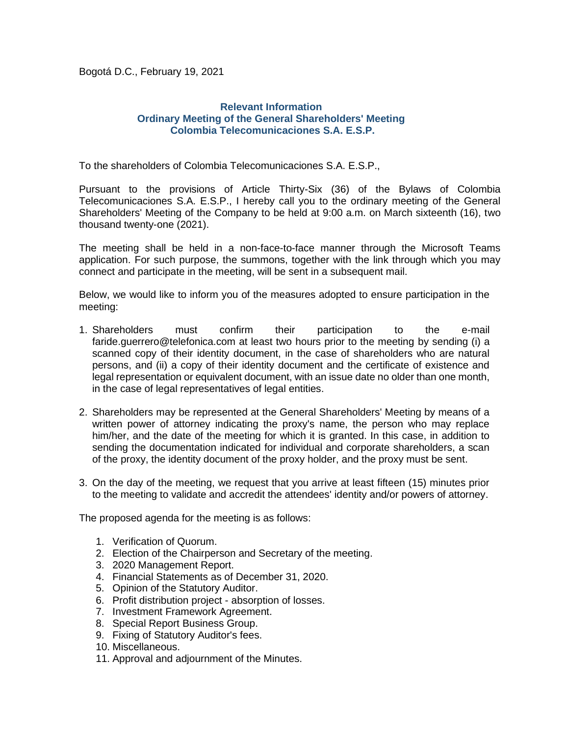Bogotá D.C., February 19, 2021

## **Relevant Information Ordinary Meeting of the General Shareholders' Meeting Colombia Telecomunicaciones S.A. E.S.P.**

To the shareholders of Colombia Telecomunicaciones S.A. E.S.P.,

Pursuant to the provisions of Article Thirty-Six (36) of the Bylaws of Colombia Telecomunicaciones S.A. E.S.P., I hereby call you to the ordinary meeting of the General Shareholders' Meeting of the Company to be held at 9:00 a.m. on March sixteenth (16), two thousand twenty-one (2021).

The meeting shall be held in a non-face-to-face manner through the Microsoft Teams application. For such purpose, the summons, together with the link through which you may connect and participate in the meeting, will be sent in a subsequent mail.

Below, we would like to inform you of the measures adopted to ensure participation in the meeting:

- 1. Shareholders must confirm their participation to the e-mail faride.guerrero@telefonica.com at least two hours prior to the meeting by sending (i) a scanned copy of their identity document, in the case of shareholders who are natural persons, and (ii) a copy of their identity document and the certificate of existence and legal representation or equivalent document, with an issue date no older than one month, in the case of legal representatives of legal entities.
- 2. Shareholders may be represented at the General Shareholders' Meeting by means of a written power of attorney indicating the proxy's name, the person who may replace him/her, and the date of the meeting for which it is granted. In this case, in addition to sending the documentation indicated for individual and corporate shareholders, a scan of the proxy, the identity document of the proxy holder, and the proxy must be sent.
- 3. On the day of the meeting, we request that you arrive at least fifteen (15) minutes prior to the meeting to validate and accredit the attendees' identity and/or powers of attorney.

The proposed agenda for the meeting is as follows:

- 1. Verification of Quorum.
- 2. Election of the Chairperson and Secretary of the meeting.
- 3. 2020 Management Report.
- 4. Financial Statements as of December 31, 2020.
- 5. Opinion of the Statutory Auditor.
- 6. Profit distribution project absorption of losses.
- 7. Investment Framework Agreement.
- 8. Special Report Business Group.
- 9. Fixing of Statutory Auditor's fees.
- 10. Miscellaneous.
- 11. Approval and adjournment of the Minutes.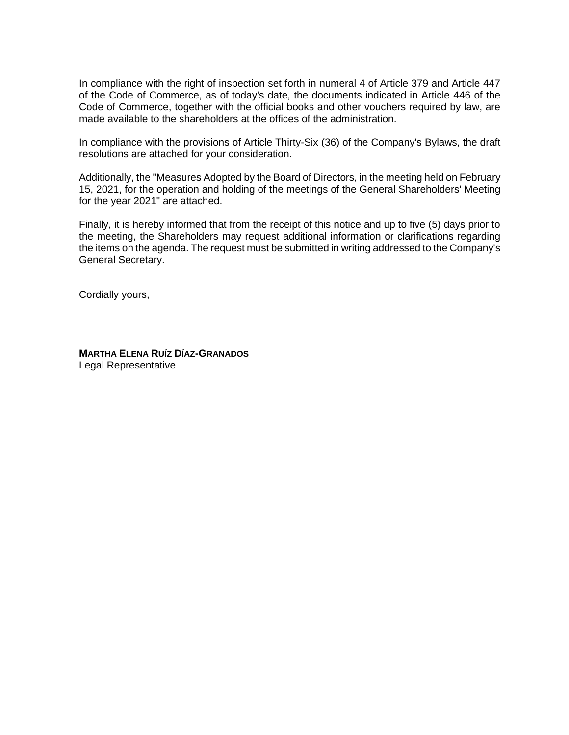In compliance with the right of inspection set forth in numeral 4 of Article 379 and Article 447 of the Code of Commerce, as of today's date, the documents indicated in Article 446 of the Code of Commerce, together with the official books and other vouchers required by law, are made available to the shareholders at the offices of the administration.

In compliance with the provisions of Article Thirty-Six (36) of the Company's Bylaws, the draft resolutions are attached for your consideration.

Additionally, the "Measures Adopted by the Board of Directors, in the meeting held on February 15, 2021, for the operation and holding of the meetings of the General Shareholders' Meeting for the year 2021" are attached.

Finally, it is hereby informed that from the receipt of this notice and up to five (5) days prior to the meeting, the Shareholders may request additional information or clarifications regarding the items on the agenda. The request must be submitted in writing addressed to the Company's General Secretary.

Cordially yours,

**MARTHA ELENA RUÍZ DÍAZ-GRANADOS** Legal Representative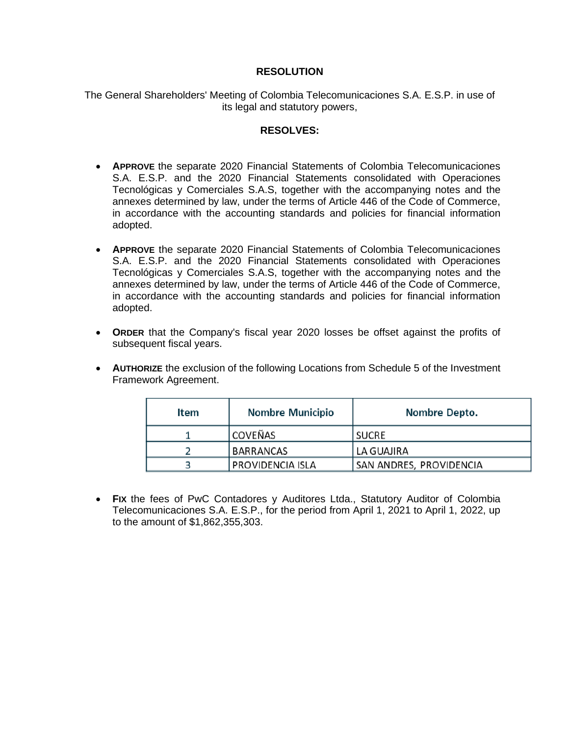# **RESOLUTION**

The General Shareholders' Meeting of Colombia Telecomunicaciones S.A. E.S.P. in use of its legal and statutory powers,

#### **RESOLVES:**

- **APPROVE** the separate 2020 Financial Statements of Colombia Telecomunicaciones S.A. E.S.P. and the 2020 Financial Statements consolidated with Operaciones Tecnológicas y Comerciales S.A.S, together with the accompanying notes and the annexes determined by law, under the terms of Article 446 of the Code of Commerce, in accordance with the accounting standards and policies for financial information adopted.
- **APPROVE** the separate 2020 Financial Statements of Colombia Telecomunicaciones S.A. E.S.P. and the 2020 Financial Statements consolidated with Operaciones Tecnológicas y Comerciales S.A.S, together with the accompanying notes and the annexes determined by law, under the terms of Article 446 of the Code of Commerce, in accordance with the accounting standards and policies for financial information adopted.
- **ORDER** that the Company's fiscal year 2020 losses be offset against the profits of subsequent fiscal years.
- **AUTHORIZE** the exclusion of the following Locations from Schedule 5 of the Investment Framework Agreement.

| Item | <b>Nombre Municipio</b> | Nombre Depto.           |
|------|-------------------------|-------------------------|
|      | <b>COVEÑAS</b>          | <b>SUCRE</b>            |
|      | <b>BARRANCAS</b>        | LA GUAJIRA              |
|      | PROVIDENCIA ISLA        | SAN ANDRES, PROVIDENCIA |

• **FIX** the fees of PwC Contadores y Auditores Ltda., Statutory Auditor of Colombia Telecomunicaciones S.A. E.S.P., for the period from April 1, 2021 to April 1, 2022, up to the amount of \$1,862,355,303.